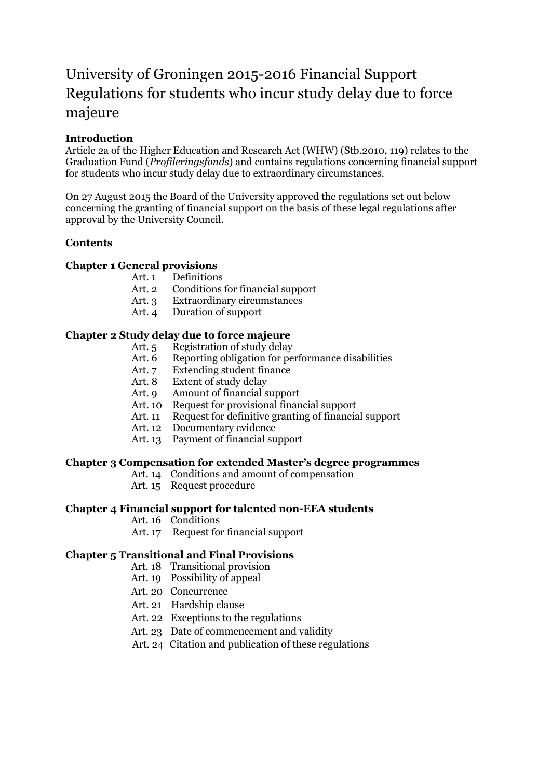# University of Groningen 2015-2016 Financial Support Regulations for students who incur study delay due to force majeure

### **Introduction**

Article 2a of the Higher Education and Research Act (WHW) (Stb.2010, 119) relates to the Graduation Fund (*Profileringsfonds*) and contains regulations concerning financial support for students who incur study delay due to extraordinary circumstances.

On 27 August 2015 the Board of the University approved the regulations set out below concerning the granting of financial support on the basis of these legal regulations after approval by the University Council.

### **Contents**

### **Chapter 1 General provisions**

- Art. 1 Definitions
- Art. 2 Conditions for financial support
- Art. 3 Extraordinary circumstances
- Art. 4 Duration of support

### **Chapter 2 Study delay due to force majeure**

- Art. 5 Registration of study delay
- Art. 6 Reporting obligation for performance disabilities
- Art. 7 Extending student finance
- Art. 8 Extent of study delay
- Art. 9 Amount of financial support
- Art. 10 Request for provisional financial support
- Art. 11 Request for definitive granting of financial support
- Art. 12 Documentary evidence
- Art. 13 Payment of financial support

### **Chapter 3 Compensation for extended Master's degree programmes**

- Art. 14 Conditions and amount of compensation
- Art. 15 Request procedure

### **Chapter 4 Financial support for talented non-EEA students**

- Art. 16 Conditions
- Art. 17 Request for financial support

# **Chapter 5 Transitional and Final Provisions**

- Art. 18 Transitional provision
- Art. 19 Possibility of appeal
- Art. 20 Concurrence
- Art. 21 Hardship clause
- Art. 22 Exceptions to the regulations
- Art. 23 Date of commencement and validity
- Art. 24 Citation and publication of these regulations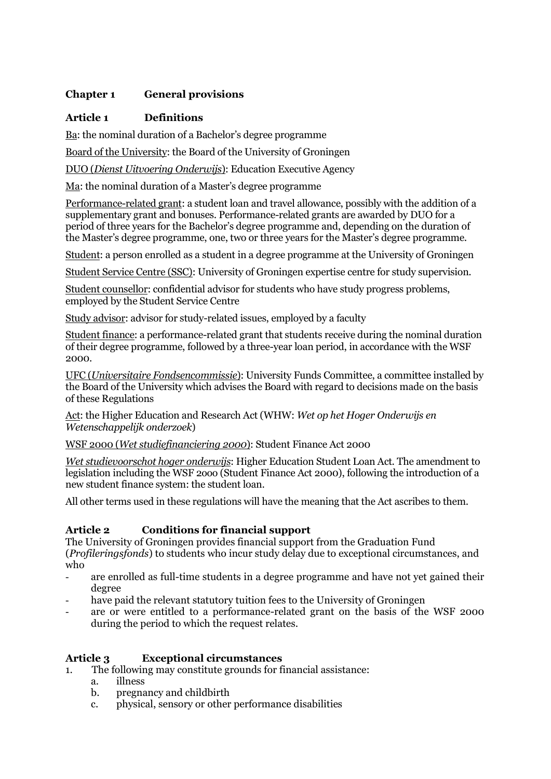# **Chapter 1 General provisions**

### **Article 1 Definitions**

Ba: the nominal duration of a Bachelor's degree programme

Board of the University: the Board of the University of Groningen

DUO (*Dienst Uitvoering Onderwijs*): Education Executive Agency

Ma: the nominal duration of a Master's degree programme

Performance-related grant: a student loan and travel allowance, possibly with the addition of a supplementary grant and bonuses. Performance-related grants are awarded by DUO for a period of three years for the Bachelor's degree programme and, depending on the duration of the Master's degree programme, one, two or three years for the Master's degree programme.

Student: a person enrolled as a student in a degree programme at the University of Groningen

Student Service Centre (SSC): University of Groningen expertise centre for study supervision.

Student counsellor: confidential advisor for students who have study progress problems, employed by the Student Service Centre

Study advisor: advisor for study-related issues, employed by a faculty

Student finance: a performance-related grant that students receive during the nominal duration of their degree programme, followed by a three-year loan period, in accordance with the WSF 2000.

UFC (*Universitaire Fondsencommissie*): University Funds Committee, a committee installed by the Board of the University which advises the Board with regard to decisions made on the basis of these Regulations

Act: the Higher Education and Research Act (WHW: *Wet op het Hoger Onderwijs en Wetenschappelijk onderzoek*)

WSF 2000 (*Wet studiefinanciering 2000*): Student Finance Act 2000

*Wet studievoorschot hoger onderwijs*: Higher Education Student Loan Act. The amendment to legislation including the WSF 2ooo (Student Finance Act 2000), following the introduction of a new student finance system: the student loan.

All other terms used in these regulations will have the meaning that the Act ascribes to them.

# **Article 2 Conditions for financial support**

The University of Groningen provides financial support from the Graduation Fund (*Profileringsfonds*) to students who incur study delay due to exceptional circumstances, and who

- are enrolled as full-time students in a degree programme and have not yet gained their degree
- have paid the relevant statutory tuition fees to the University of Groningen
- are or were entitled to a performance-related grant on the basis of the WSF 2000 during the period to which the request relates.

# **Article 3 Exceptional circumstances**

- 1. The following may constitute grounds for financial assistance:
	- a. illness
	- b. pregnancy and childbirth
	- c. physical, sensory or other performance disabilities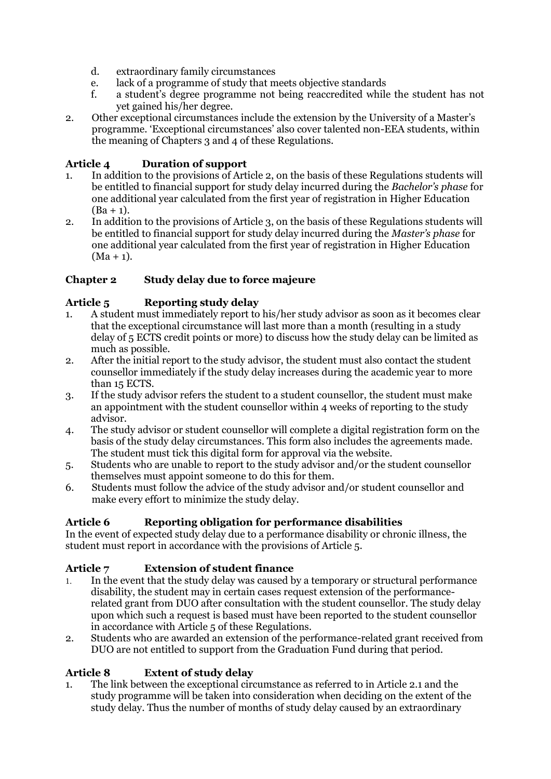- d. extraordinary family circumstances
- e. lack of a programme of study that meets objective standards
- f. a student's degree programme not being reaccredited while the student has not yet gained his/her degree.
- 2. Other exceptional circumstances include the extension by the University of a Master's programme. 'Exceptional circumstances' also cover talented non-EEA students, within the meaning of Chapters 3 and 4 of these Regulations.

### **Article 4 Duration of support**

- 1. In addition to the provisions of Article 2, on the basis of these Regulations students will be entitled to financial support for study delay incurred during the *Bachelor's phase* for one additional year calculated from the first year of registration in Higher Education  $(Ba + 1)$ .
- 2. In addition to the provisions of Article 3, on the basis of these Regulations students will be entitled to financial support for study delay incurred during the *Master's phase* for one additional year calculated from the first year of registration in Higher Education  $(Ma + 1)$ .

# **Chapter 2 Study delay due to force majeure**

# **Article 5 Reporting study delay**

- 1. A student must immediately report to his/her study advisor as soon as it becomes clear that the exceptional circumstance will last more than a month (resulting in a study delay of 5 ECTS credit points or more) to discuss how the study delay can be limited as much as possible.
- 2. After the initial report to the study advisor, the student must also contact the student counsellor immediately if the study delay increases during the academic year to more than 15 ECTS.
- 3. If the study advisor refers the student to a student counsellor, the student must make an appointment with the student counsellor within 4 weeks of reporting to the study advisor.
- 4. The study advisor or student counsellor will complete a digital registration form on the basis of the study delay circumstances. This form also includes the agreements made. The student must tick this digital form for approval via the website.
- 5. Students who are unable to report to the study advisor and/or the student counsellor themselves must appoint someone to do this for them.
- 6. Students must follow the advice of the study advisor and/or student counsellor and make every effort to minimize the study delay.

# **Article 6 Reporting obligation for performance disabilities**

In the event of expected study delay due to a performance disability or chronic illness, the student must report in accordance with the provisions of Article 5.

# **Article 7 Extension of student finance**

- 1. In the event that the study delay was caused by a temporary or structural performance disability, the student may in certain cases request extension of the performancerelated grant from DUO after consultation with the student counsellor. The study delay upon which such a request is based must have been reported to the student counsellor in accordance with Article 5 of these Regulations.
- 2. Students who are awarded an extension of the performance-related grant received from DUO are not entitled to support from the Graduation Fund during that period.

# **Article 8 Extent of study delay**

1. The link between the exceptional circumstance as referred to in Article 2.1 and the study programme will be taken into consideration when deciding on the extent of the study delay. Thus the number of months of study delay caused by an extraordinary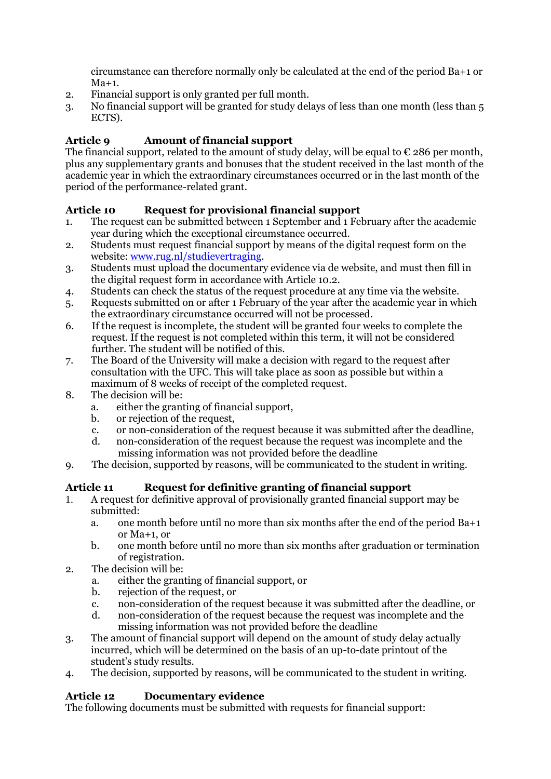circumstance can therefore normally only be calculated at the end of the period Ba+1 or  $Ma+1$ .

- 2. Financial support is only granted per full month.
- 3. No financial support will be granted for study delays of less than one month (less than 5 ECTS).

# **Article 9 Amount of financial support**

The financial support, related to the amount of study delay, will be equal to  $\epsilon$  286 per month, plus any supplementary grants and bonuses that the student received in the last month of the academic year in which the extraordinary circumstances occurred or in the last month of the period of the performance-related grant.

# **Article 10 Request for provisional financial support**

- 1. The request can be submitted between 1 September and 1 February after the academic year during which the exceptional circumstance occurred.
- 2. Students must request financial support by means of the digital request form on the website: [www.rug.nl/studievertraging.](http://www.rug.nl/studievertraging)
- 3. Students must upload the documentary evidence via de website, and must then fill in the digital request form in accordance with Article 10.2.
- 4. Students can check the status of the request procedure at any time via the website.
- 5. Requests submitted on or after 1 February of the year after the academic year in which the extraordinary circumstance occurred will not be processed.
- 6. If the request is incomplete, the student will be granted four weeks to complete the request. If the request is not completed within this term, it will not be considered further. The student will be notified of this.
- 7. The Board of the University will make a decision with regard to the request after consultation with the UFC. This will take place as soon as possible but within a maximum of 8 weeks of receipt of the completed request.
- 8. The decision will be:
	- a. either the granting of financial support,
	- b. or rejection of the request,
	- c. or non-consideration of the request because it was submitted after the deadline,
	- d. non-consideration of the request because the request was incomplete and the missing information was not provided before the deadline
- 9. The decision, supported by reasons, will be communicated to the student in writing.

# **Article 11 Request for definitive granting of financial support**

- 1. A request for definitive approval of provisionally granted financial support may be submitted:
	- a. one month before until no more than six months after the end of the period Ba+1 or Ma+1, or
	- b. one month before until no more than six months after graduation or termination of registration.
- 2. The decision will be:
	- a. either the granting of financial support, or
	- b. rejection of the request, or
	- c. non-consideration of the request because it was submitted after the deadline, or
	- d. non-consideration of the request because the request was incomplete and the missing information was not provided before the deadline
- 3. The amount of financial support will depend on the amount of study delay actually incurred, which will be determined on the basis of an up-to-date printout of the student's study results.
- 4. The decision, supported by reasons, will be communicated to the student in writing.

# **Article 12 Documentary evidence**

The following documents must be submitted with requests for financial support: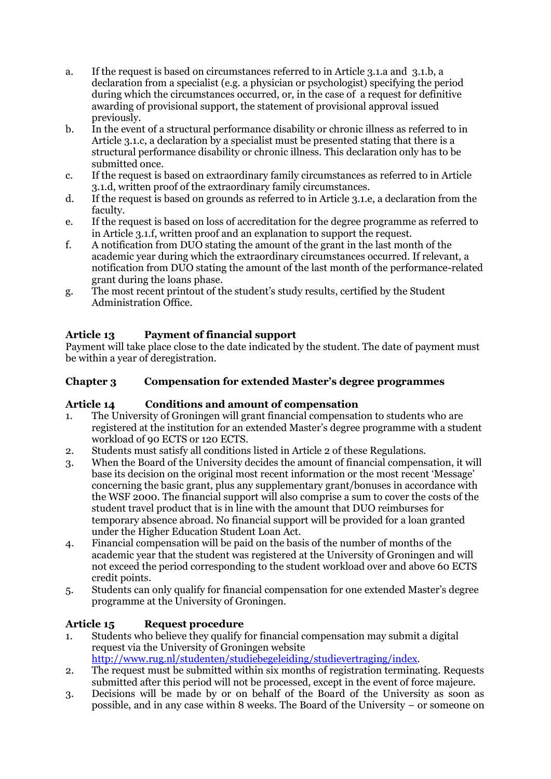- a. If the request is based on circumstances referred to in Article 3.1.a and 3.1.b, a declaration from a specialist (e.g. a physician or psychologist) specifying the period during which the circumstances occurred, or, in the case of a request for definitive awarding of provisional support, the statement of provisional approval issued previously.
- b. In the event of a structural performance disability or chronic illness as referred to in Article 3.1.c, a declaration by a specialist must be presented stating that there is a structural performance disability or chronic illness. This declaration only has to be submitted once.
- c. If the request is based on extraordinary family circumstances as referred to in Article 3.1.d, written proof of the extraordinary family circumstances.
- d. If the request is based on grounds as referred to in Article 3.1.e, a declaration from the faculty.
- e. If the request is based on loss of accreditation for the degree programme as referred to in Article 3.1.f, written proof and an explanation to support the request.
- f. A notification from DUO stating the amount of the grant in the last month of the academic year during which the extraordinary circumstances occurred. If relevant, a notification from DUO stating the amount of the last month of the performance-related grant during the loans phase.
- g. The most recent printout of the student's study results, certified by the Student Administration Office.

# **Article 13 Payment of financial support**

Payment will take place close to the date indicated by the student. The date of payment must be within a year of deregistration.

# **Chapter 3 Compensation for extended Master's degree programmes**

# **Article 14 Conditions and amount of compensation**

- 1. The University of Groningen will grant financial compensation to students who are registered at the institution for an extended Master's degree programme with a student workload of 90 ECTS or 120 ECTS.
- 2. Students must satisfy all conditions listed in Article 2 of these Regulations.
- 3. When the Board of the University decides the amount of financial compensation, it will base its decision on the original most recent information or the most recent 'Message' concerning the basic grant, plus any supplementary grant/bonuses in accordance with the WSF 2000. The financial support will also comprise a sum to cover the costs of the student travel product that is in line with the amount that DUO reimburses for temporary absence abroad. No financial support will be provided for a loan granted under the Higher Education Student Loan Act.
- 4. Financial compensation will be paid on the basis of the number of months of the academic year that the student was registered at the University of Groningen and will not exceed the period corresponding to the student workload over and above 60 ECTS credit points.
- 5. Students can only qualify for financial compensation for one extended Master's degree programme at the University of Groningen.

# **Article 15 Request procedure**

- 1. Students who believe they qualify for financial compensation may submit a digital request via the University of Groningen website [http://www.rug.nl/studenten/studiebegeleiding/studievertraging/index.](http://www.rug.nl/studenten/studiebegeleiding/studievertraging/index)
- 2. The request must be submitted within six months of registration terminating. Requests submitted after this period will not be processed, except in the event of force majeure.
- 3. Decisions will be made by or on behalf of the Board of the University as soon as possible, and in any case within 8 weeks. The Board of the University – or someone on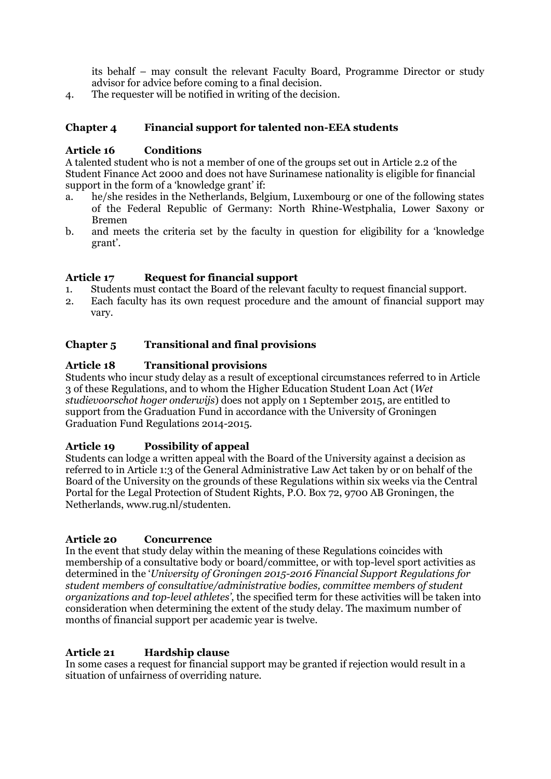its behalf – may consult the relevant Faculty Board, Programme Director or study advisor for advice before coming to a final decision.

4. The requester will be notified in writing of the decision.

### **Chapter 4 Financial support for talented non-EEA students**

### **Article 16 Conditions**

A talented student who is not a member of one of the groups set out in Article 2.2 of the Student Finance Act 2000 and does not have Surinamese nationality is eligible for financial support in the form of a 'knowledge grant' if:

- a. he/she resides in the Netherlands, Belgium, Luxembourg or one of the following states of the Federal Republic of Germany: North Rhine-Westphalia, Lower Saxony or Bremen
- b. and meets the criteria set by the faculty in question for eligibility for a 'knowledge grant'.

### **Article 17 Request for financial support**

- 1. Students must contact the Board of the relevant faculty to request financial support.
- 2. Each faculty has its own request procedure and the amount of financial support may vary.

### **Chapter 5 Transitional and final provisions**

### **Article 18 Transitional provisions**

Students who incur study delay as a result of exceptional circumstances referred to in Article 3 of these Regulations, and to whom the Higher Education Student Loan Act (*Wet studievoorschot hoger onderwijs*) does not apply on 1 September 2015, are entitled to support from the Graduation Fund in accordance with the University of Groningen Graduation Fund Regulations 2014-2015.

### **Article 19 Possibility of appeal**

Students can lodge a written appeal with the Board of the University against a decision as referred to in Article 1:3 of the General Administrative Law Act taken by or on behalf of the Board of the University on the grounds of these Regulations within six weeks via the Central Portal for the Legal Protection of Student Rights, P.O. Box 72, 9700 AB Groningen, the Netherlands, www.rug.nl/studenten.

### **Article 20 Concurrence**

In the event that study delay within the meaning of these Regulations coincides with membership of a consultative body or board/committee, or with top-level sport activities as determined in the '*University of Groningen 2015-2016 Financial Support Regulations for student members of consultative/administrative bodies, committee members of student organizations and top-level athletes'*, the specified term for these activities will be taken into consideration when determining the extent of the study delay. The maximum number of months of financial support per academic year is twelve.

### **Article 21 Hardship clause**

In some cases a request for financial support may be granted if rejection would result in a situation of unfairness of overriding nature.